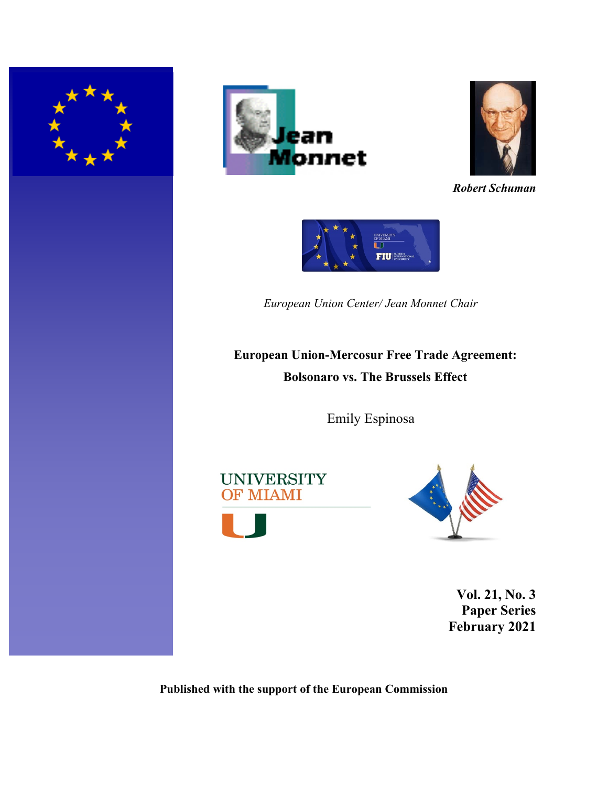





*Robert Schuman*



*European Union Center/ Jean Monnet Chair* 

# **European Union-Mercosur Free Trade Agreement: Bolsonaro vs. The Brussels Effect**

Emily Espinosa





**Vol. 21, No. 3 Paper Series February 2021** 

**Published with the support of the European Commission**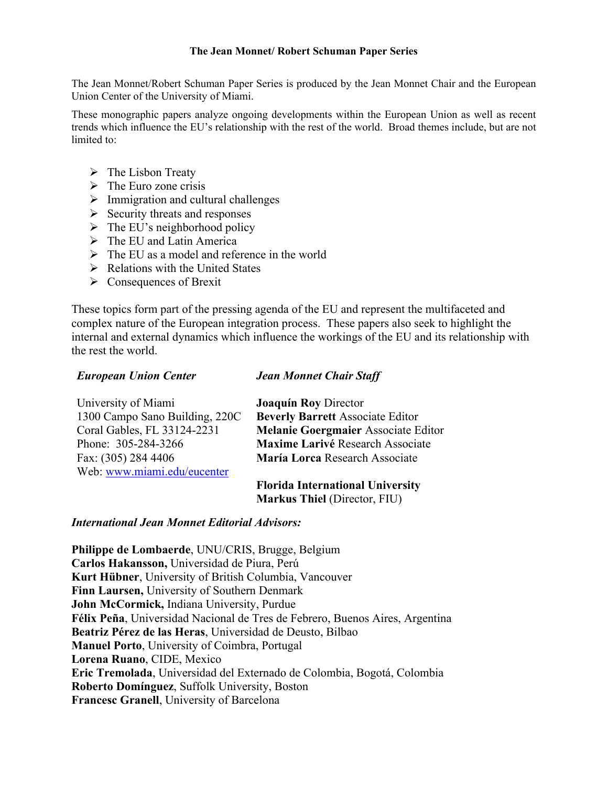#### **The Jean Monnet/ Robert Schuman Paper Series**

The Jean Monnet/Robert Schuman Paper Series is produced by the Jean Monnet Chair and the European Union Center of the University of Miami.

These monographic papers analyze ongoing developments within the European Union as well as recent trends which influence the EU's relationship with the rest of the world. Broad themes include, but are not limited to:

- $\triangleright$  The Lisbon Treaty
- $\triangleright$  The Euro zone crisis
- $\triangleright$  Immigration and cultural challenges
- $\triangleright$  Security threats and responses
- $\triangleright$  The EU's neighborhood policy
- $\triangleright$  The EU and Latin America
- $\triangleright$  The EU as a model and reference in the world
- $\triangleright$  Relations with the United States
- $\triangleright$  Consequences of Brexit

These topics form part of the pressing agenda of the EU and represent the multifaceted and complex nature of the European integration process. These papers also seek to highlight the internal and external dynamics which influence the workings of the EU and its relationship with the rest the world.

## *European Union Center*

## *Jean Monnet Chair Staff*

| University of Miami            | <b>Joaquín Roy Director</b>             |
|--------------------------------|-----------------------------------------|
| 1300 Campo Sano Building, 220C | <b>Beverly Barrett Associate Editor</b> |
| Coral Gables, FL 33124-2231    | Melanie Goergmaier Associate Editor     |
| Phone: 305-284-3266            | Maxime Larivé Research Associate        |
| Fax: (305) 284 4406            | María Lorca Research Associate          |
| Web: www.miami.edu/eucenter    |                                         |
|                                | Florida International University        |

**Florida International University Markus Thiel** (Director, FIU)

## *International Jean Monnet Editorial Advisors:*

**Philippe de Lombaerde**, UNU/CRIS, Brugge, Belgium **Carlos Hakansson,** Universidad de Piura, Perú **Kurt Hübner**, University of British Columbia, Vancouver **Finn Laursen,** University of Southern Denmark **John McCormick,** Indiana University, Purdue **Félix Peña**, Universidad Nacional de Tres de Febrero, Buenos Aires, Argentina **Beatriz Pérez de las Heras**, Universidad de Deusto, Bilbao **Manuel Porto**, University of Coimbra, Portugal **Lorena Ruano**, CIDE, Mexico **Eric Tremolada**, Universidad del Externado de Colombia, Bogotá, Colombia **Roberto Domínguez**, Suffolk University, Boston **Francesc Granell**, University of Barcelona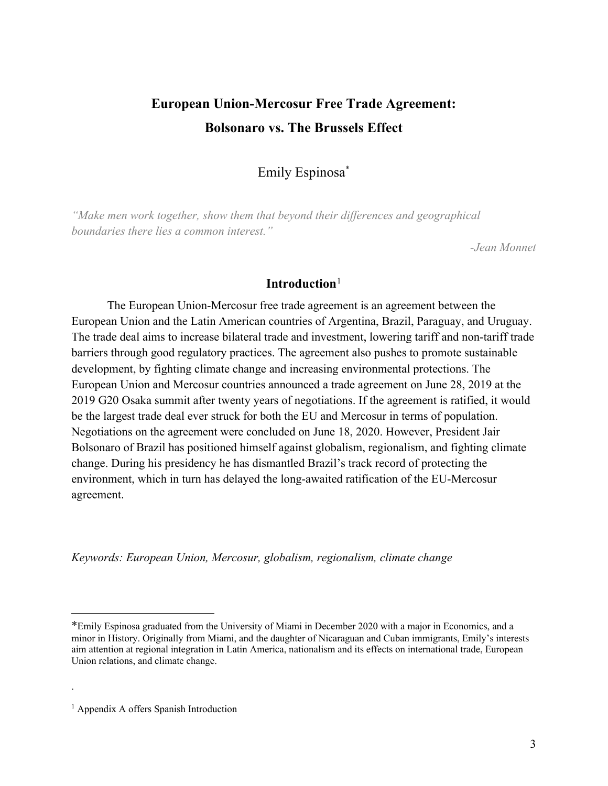## **European Union-Mercosur Free Trade Agreement: Bolsonaro vs. The Brussels Effect**

## Emily Espinosa\*

*"Make men work together, show them that beyond their differences and geographical boundaries there lies a common interest."*

*-Jean Monnet*

## **Introduction**[1](#page-2-0)

The European Union-Mercosur free trade agreement is an agreement between the European Union and the Latin American countries of Argentina, Brazil, Paraguay, and Uruguay. The trade deal aims to increase bilateral trade and investment, lowering tariff and non-tariff trade barriers through good regulatory practices. The agreement also pushes to promote sustainable development, by fighting climate change and increasing environmental protections. The European Union and Mercosur countries announced a trade agreement on June 28, 2019 at the 2019 G20 Osaka summit after twenty years of negotiations. If the agreement is ratified, it would be the largest trade deal ever struck for both the EU and Mercosur in terms of population. Negotiations on the agreement were concluded on June 18, 2020. However, President Jair Bolsonaro of Brazil has positioned himself against globalism, regionalism, and fighting climate change. During his presidency he has dismantled Brazil's track record of protecting the environment, which in turn has delayed the long-awaited ratification of the EU-Mercosur agreement.

*Keywords: European Union, Mercosur, globalism, regionalism, climate change*

.

<span id="page-2-0"></span><sup>\*</sup>Emily Espinosa graduated from the University of Miami in December 2020 with a major in Economics, and a minor in History. Originally from Miami, and the daughter of Nicaraguan and Cuban immigrants, Emily's interests aim attention at regional integration in Latin America, nationalism and its effects on international trade, European Union relations, and climate change.

<sup>&</sup>lt;sup>1</sup> Appendix A offers Spanish Introduction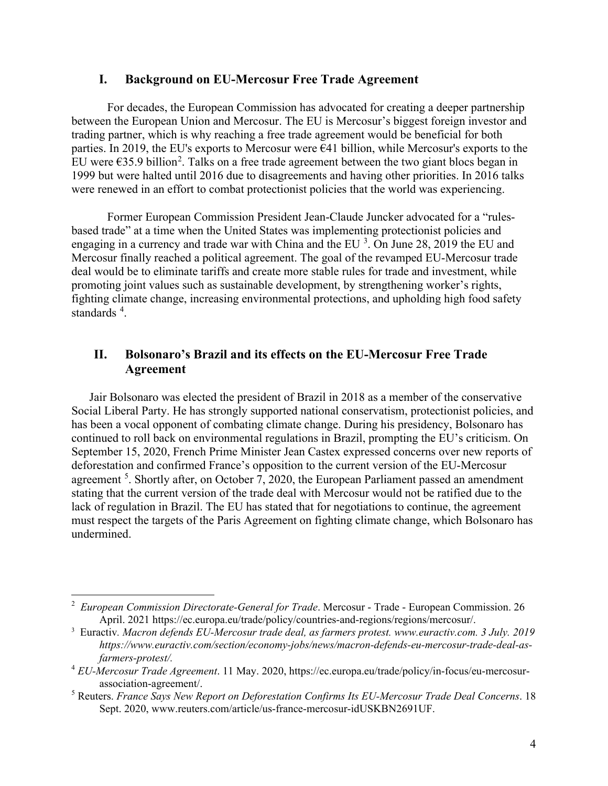## **I. Background on EU-Mercosur Free Trade Agreement**

For decades, the European Commission has advocated for creating a deeper partnership between the European Union and Mercosur. The EU is Mercosur's biggest foreign investor and trading partner, which is why reaching a free trade agreement would be beneficial for both parties. In 2019, the EU's exports to Mercosur were  $\epsilon$ 41 billion, while Mercosur's exports to the EU were  $\epsilon$ 35.9 billion<sup>[2](#page-3-0)</sup>. Talks on a free trade agreement between the two giant blocs began in 1999 but were halted until 2016 due to disagreements and having other priorities. In 2016 talks were renewed in an effort to combat protectionist policies that the world was experiencing.

Former European Commission President Jean-Claude Juncker advocated for a "rulesbased trade" at a time when the United States was implementing protectionist policies and engaging in a currency and trade war with China and the EU  $^3$  $^3$ . On June 28, 2019 the EU and Mercosur finally reached a political agreement. The goal of the revamped EU-Mercosur trade deal would be to eliminate tariffs and create more stable rules for trade and investment, while promoting joint values such as sustainable development, by strengthening worker's rights, fighting climate change, increasing environmental protections, and upholding high food safety standards <sup>[4](#page-3-2)</sup>.

## **II. Bolsonaro's Brazil and its effects on the EU-Mercosur Free Trade Agreement**

Jair Bolsonaro was elected the president of Brazil in 2018 as a member of the conservative Social Liberal Party. He has strongly supported national conservatism, protectionist policies, and has been a vocal opponent of combating climate change. During his presidency, Bolsonaro has continued to roll back on environmental regulations in Brazil, prompting the EU's criticism. On September 15, 2020, French Prime Minister Jean Castex expressed concerns over new reports of deforestation and confirmed France's opposition to the current version of the EU-Mercosur agreement<sup>[5](#page-3-3)</sup>. Shortly after, on October 7, 2020, the European Parliament passed an amendment stating that the current version of the trade deal with Mercosur would not be ratified due to the lack of regulation in Brazil. The EU has stated that for negotiations to continue, the agreement must respect the targets of the Paris Agreement on fighting climate change, which Bolsonaro has undermined.

<span id="page-3-0"></span><sup>2</sup> *European Commission Directorate-General for Trade*. Mercosur - Trade - European Commission. 26 April. 2021 https://ec.europa.eu/trade/policy/countries-and-regions/regions/mercosur/.

<span id="page-3-1"></span><sup>3</sup> Euractiv*. Macron defends EU-Mercosur trade deal, as farmers protest. www.euractiv.com. 3 July. 2019 https://www.euractiv.com/section/economy-jobs/news/macron-defends-eu-mercosur-trade-deal-asfarmers-protest/.*

<span id="page-3-2"></span><sup>4</sup> *EU-Mercosur Trade Agreement*. 11 May. 2020, https://ec.europa.eu/trade/policy/in-focus/eu-mercosurassociation-agreement/.

<span id="page-3-3"></span><sup>5</sup> Reuters. *France Says New Report on Deforestation Confirms Its EU-Mercosur Trade Deal Concerns*. 18 Sept. 2020, www.reuters.com/article/us-france-mercosur-idUSKBN2691UF.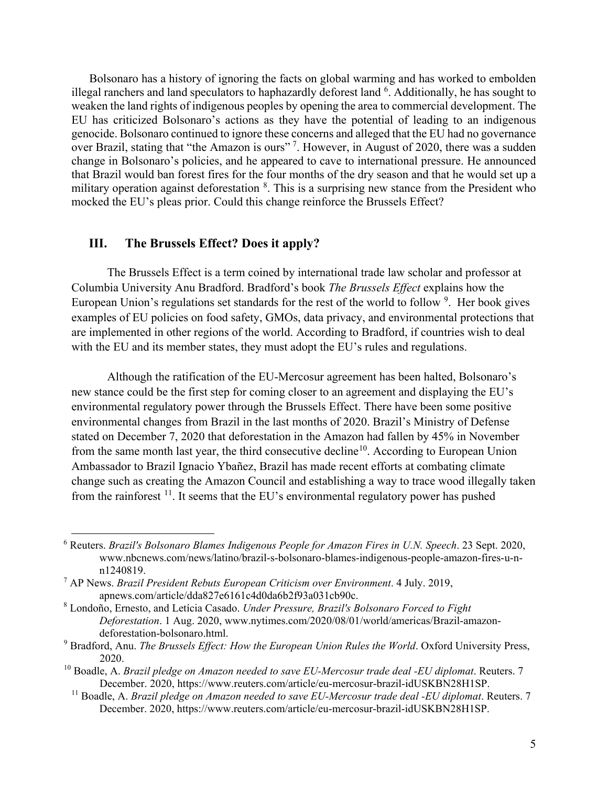Bolsonaro has a history of ignoring the facts on global warming and has worked to embolden illegal ranchers and land speculators to haphazardly deforest land <sup>[6](#page-4-0)</sup>. Additionally, he has sought to weaken the land rights of indigenous peoples by opening the area to commercial development. The EU has criticized Bolsonaro's actions as they have the potential of leading to an indigenous genocide. Bolsonaro continued to ignore these concerns and alleged that the EU had no governance over Brazil, stating that "the Amazon is ours"<sup>[7](#page-4-1)</sup>. However, in August of 2020, there was a sudden change in Bolsonaro's policies, and he appeared to cave to international pressure. He announced that Brazil would ban forest fires for the four months of the dry season and that he would set up a military operation against deforestation <sup>[8](#page-4-2)</sup>. This is a surprising new stance from the President who mocked the EU's pleas prior. Could this change reinforce the Brussels Effect?

#### **III. The Brussels Effect? Does it apply?**

The Brussels Effect is a term coined by international trade law scholar and professor at Columbia University Anu Bradford. Bradford's book *The Brussels Effect* explains how the European Union's regulations set standards for the rest of the world to follow <sup>[9](#page-4-3)</sup>. Her book gives examples of EU policies on food safety, GMOs, data privacy, and environmental protections that are implemented in other regions of the world. According to Bradford, if countries wish to deal with the EU and its member states, they must adopt the EU's rules and regulations.

Although the ratification of the EU-Mercosur agreement has been halted, Bolsonaro's new stance could be the first step for coming closer to an agreement and displaying the EU's environmental regulatory power through the Brussels Effect. There have been some positive environmental changes from Brazil in the last months of 2020. Brazil's Ministry of Defense stated on December 7, 2020 that deforestation in the Amazon had fallen by 45% in November from the same month last year, the third consecutive decline<sup>10</sup>. According to European Union Ambassador to Brazil Ignacio Ybañez, Brazil has made recent efforts at combating climate change such as creating the Amazon Council and establishing a way to trace wood illegally taken from the rainforest  $11$ . It seems that the EU's environmental regulatory power has pushed

<span id="page-4-0"></span><sup>6</sup> Reuters. *Brazil's Bolsonaro Blames Indigenous People for Amazon Fires in U.N. Speech*. 23 Sept. 2020, [www.nbcnews.com/news/latino/brazil-s-bolsonaro-blames-indigenous-people-amazon-fires-u-n](http://www.nbcnews.com/news/latino/brazil-s-bolsonaro-blames-indigenous-people-amazon-fires-u-n-n1240819)[n1240819.](http://www.nbcnews.com/news/latino/brazil-s-bolsonaro-blames-indigenous-people-amazon-fires-u-n-n1240819)

<span id="page-4-1"></span><sup>7</sup> AP News. *Brazil President Rebuts European Criticism over Environment*. 4 July. 2019, apnews.com/article/dda827e6161c4d0da6b2f93a031cb90c.

<span id="page-4-2"></span><sup>8</sup> Londoño, Ernesto, and Letícia Casado. *Under Pressure, Brazil's Bolsonaro Forced to Fight Deforestation*. 1 Aug. 2020, www.nytimes.com/2020/08/01/world/americas/Brazil-amazondeforestation-bolsonaro.html.

<span id="page-4-3"></span><sup>9</sup> Bradford, Anu. *The Brussels Effect: How the European Union Rules the World*. Oxford University Press, 2020.

<span id="page-4-5"></span><span id="page-4-4"></span><sup>&</sup>lt;sup>10</sup> Boadle, A. *Brazil pledge on Amazon needed to save EU-Mercosur trade deal -EU diplomat*. Reuters. 7 December. 2020, https://www.reuters.com/article/eu-mercosur-brazil-idUSKBN28H1SP.

<sup>&</sup>lt;sup>11</sup> Boadle, A. *Brazil pledge on Amazon needed to save EU-Mercosur trade deal -EU diplomat. Reuters. 7* December. 2020, https://www.reuters.com/article/eu-mercosur-brazil-idUSKBN28H1SP.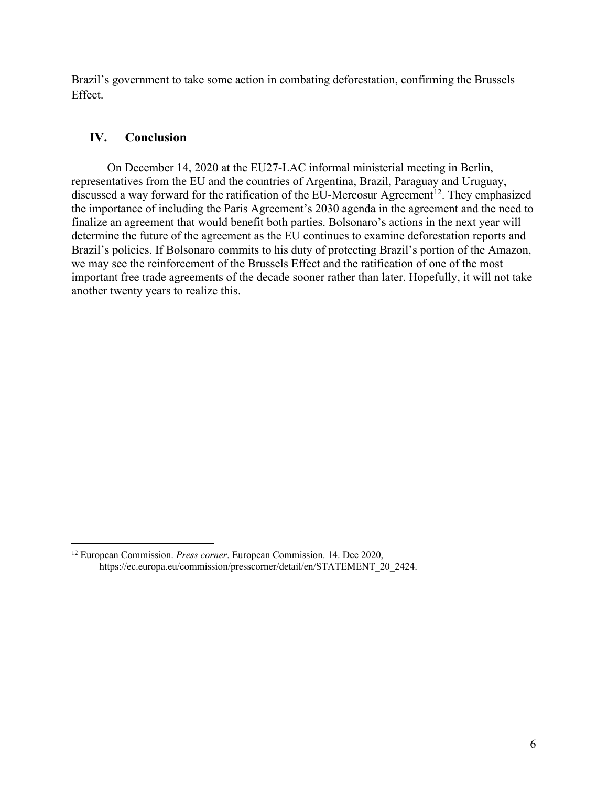Brazil's government to take some action in combating deforestation, confirming the Brussels Effect.

## **IV. Conclusion**

On December 14, 2020 at the EU27-LAC informal ministerial meeting in Berlin, representatives from the EU and the countries of Argentina, Brazil, Paraguay and Uruguay, discussed a way forward for the ratification of the EU-Mercosur Agreement<sup>[12](#page-5-0)</sup>. They emphasized the importance of including the Paris Agreement's 2030 agenda in the agreement and the need to finalize an agreement that would benefit both parties. Bolsonaro's actions in the next year will determine the future of the agreement as the EU continues to examine deforestation reports and Brazil's policies. If Bolsonaro commits to his duty of protecting Brazil's portion of the Amazon, we may see the reinforcement of the Brussels Effect and the ratification of one of the most important free trade agreements of the decade sooner rather than later. Hopefully, it will not take another twenty years to realize this.

<span id="page-5-0"></span><sup>12</sup> European Commission. *Press corner*. European Commission. 14. Dec 2020, https://ec.europa.eu/commission/presscorner/detail/en/STATEMENT\_20\_2424.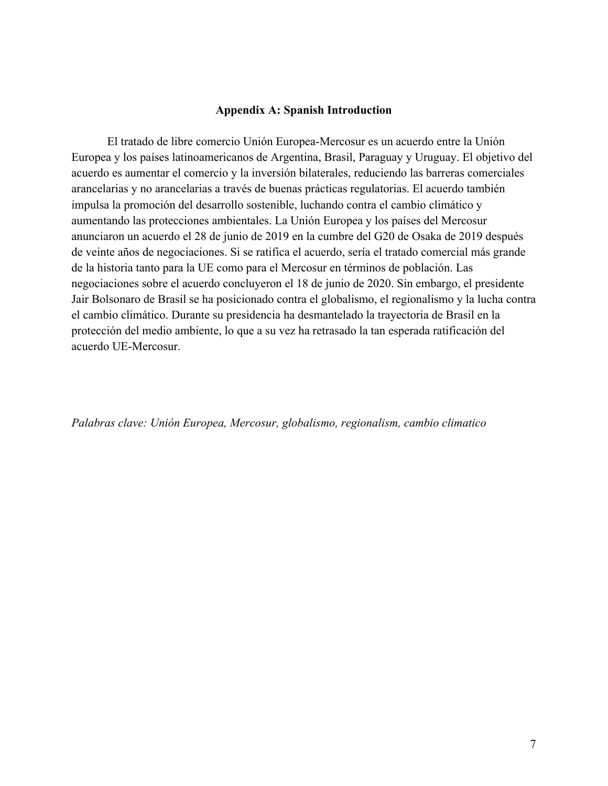#### **Appendix A: Spanish Introduction**

El tratado de libre comercio Unión Europea-Mercosur es un acuerdo entre la Unión Europea y los países latinoamericanos de Argentina, Brasil, Paraguay y Uruguay. El objetivo del acuerdo es aumentar el comercio y la inversión bilaterales, reduciendo las barreras comerciales arancelarias y no arancelarias a través de buenas prácticas regulatorias. El acuerdo también impulsa la promoción del desarrollo sostenible, luchando contra el cambio climático y aumentando las protecciones ambientales. La Unión Europea y los países del Mercosur anunciaron un acuerdo el 28 de junio de 2019 en la cumbre del G20 de Osaka de 2019 después de veinte años de negociaciones. Si se ratifica el acuerdo, sería el tratado comercial más grande de la historia tanto para la UE como para el Mercosur en términos de población. Las negociaciones sobre el acuerdo concluyeron el 18 de junio de 2020. Sin embargo, el presidente Jair Bolsonaro de Brasil se ha posicionado contra el globalismo, el regionalismo y la lucha contra el cambio climático. Durante su presidencia ha desmantelado la trayectoria de Brasil en la protección del medio ambiente, lo que a su vez ha retrasado la tan esperada ratificación del acuerdo UE-Mercosur.

*Palabras clave: Unión Europea, Mercosur, globalismo, regionalism, cambio climatico*